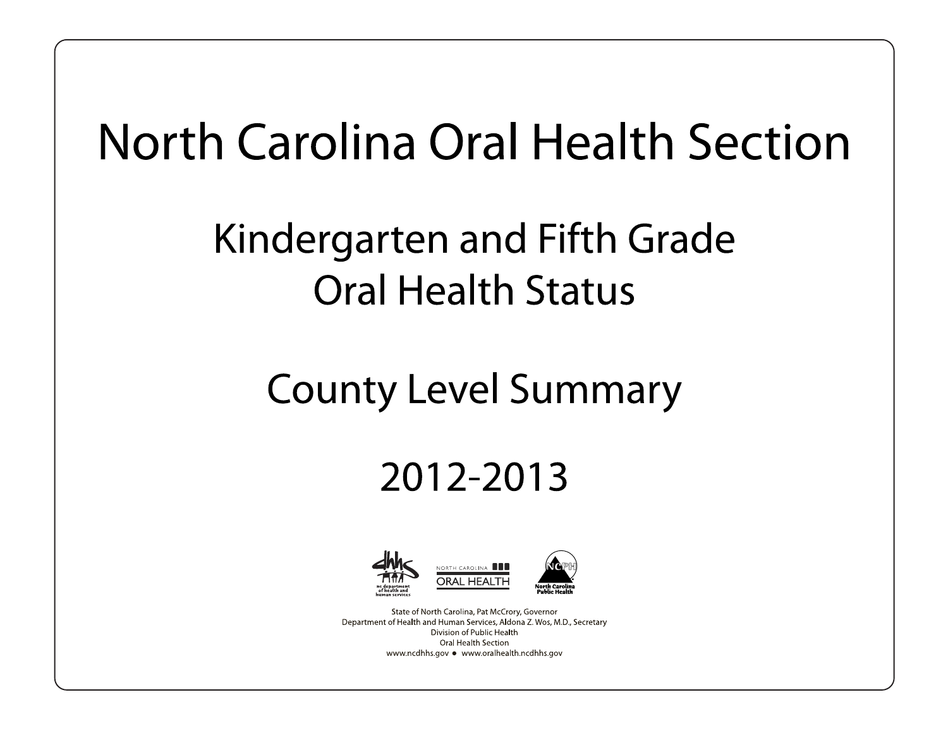# North Carolina Oral Health Section

## Kindergarten and Fifth Grade **Oral Health Status**

## **County Level Summary**

## 2012-2013



State of North Carolina, Pat McCrory, Governor Department of Health and Human Services, Aldona Z. Wos, M.D., Secretary Division of Public Health Oral Health Section www.ncdhhs.gov • www.oralhealth.ncdhhs.gov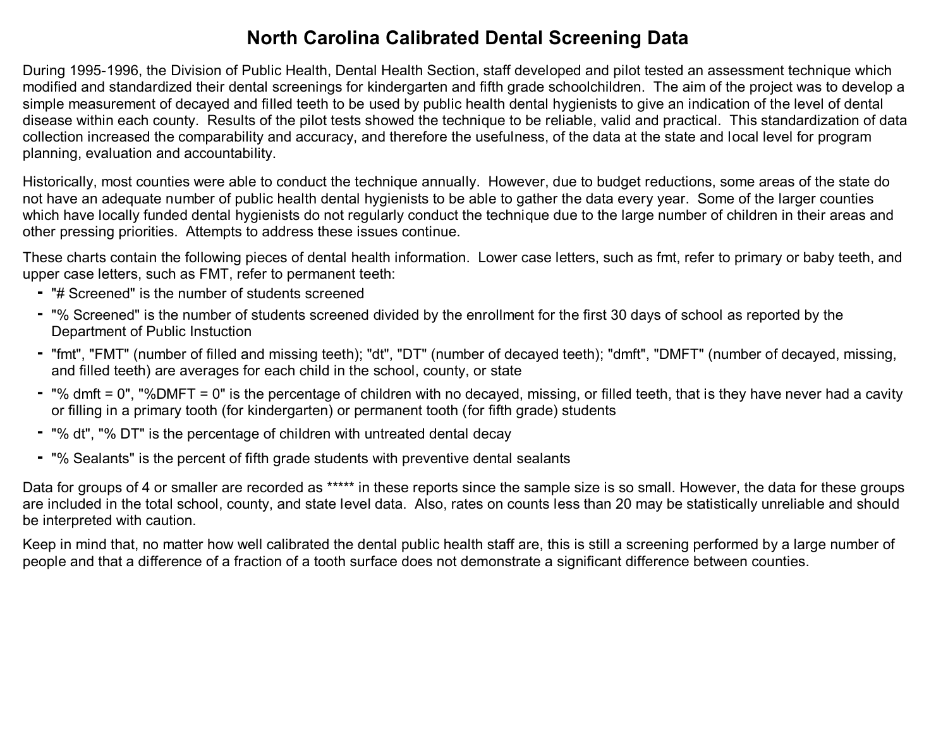#### **North Carolina Calibrated Dental Screening Data**

During 1995-1996, the Division of Public Health, Dental Health Section, staff developed and pilot tested an assessment technique which modified and standardized their dental screenings for kindergarten and fifth grade schoolchildren. The aim of the project was to develop a simple measurement of decayed and filled teeth to be used by public health dental hygienists to give an indication of the level of dental disease within each county. Results of the pilot tests showed the technique to be reliable, valid and practical. This standardization of data collection increased the comparability and accuracy, and therefore the usefulness, of the data at the state and local level for program planning, evaluation and accountability.

Historically, most counties were able to conduct the technique annually. However, due to budget reductions, some areas of the state do not have an adequate number of public health dental hygienists to be able to gather the data every year. Some of the larger counties which have locally funded dental hygienists do not regularly conduct the technique due to the large number of children in their areas and other pressing priorities. Attempts to address these issues continue.

These charts contain the following pieces of dental health information. Lower case letters, such as fmt, refer to primary or baby teeth, and upper case letters, such as FMT, refer to permanent teeth:

- "# Screened" is the number of students screened
- "% Screened" is the number of students screened divided by the enrollment for the first 30 days of school as reported by the Department of Public Instuction
- "fmt", "FMT" (number of filled and missing teeth); "dt", "DT" (number of decayed teeth); "dmft", "DMFT" (number of decayed, missing, and filled teeth) are averages for each child in the school, county, or state
- "% dmft = 0", "%DMFT = 0" is the percentage of children with no decayed, missing, or filled teeth, that is they have never had a cavity or filling in a primary tooth (for kindergarten) or permanent tooth (for fifth grade) students
- "% dt", "% DT" is the percentage of children with untreated dental decay
- "% Sealants" is the percent of fifth grade students with preventive dental sealants

Data for groups of 4 or smaller are recorded as \*\*\*\*\* in these reports since the sample size is so small. However, the data for these groups are included in the total school, county, and state level data. Also, rates on counts less than 20 may be statistically unreliable and should be interpreted with caution.

Keep in mind that, no matter how well calibrated the dental public health staff are, this is still a screening performed by a large number of people and that a difference of a fraction of a tooth surface does not demonstrate a significant difference between counties.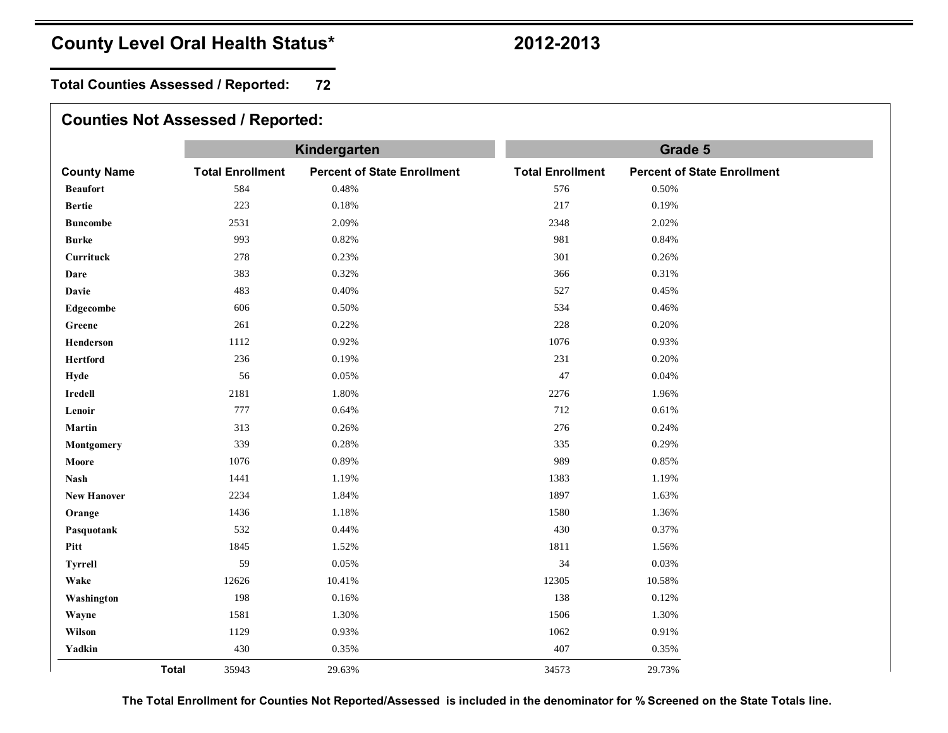**Total Counties Assessed / Reported: 72**

|                        |                         | Kindergarten                       | Grade 5                 |                                    |  |  |  |  |  |
|------------------------|-------------------------|------------------------------------|-------------------------|------------------------------------|--|--|--|--|--|
| <b>County Name</b>     | <b>Total Enrollment</b> | <b>Percent of State Enrollment</b> | <b>Total Enrollment</b> | <b>Percent of State Enrollment</b> |  |  |  |  |  |
| <b>Beaufort</b>        | 584                     | 0.48%                              | 576                     | 0.50%                              |  |  |  |  |  |
| <b>Bertie</b>          | 223                     | 0.18%                              | 217                     | 0.19%                              |  |  |  |  |  |
| <b>Buncombe</b>        | 2531                    | 2.09%                              | 2348                    | 2.02%                              |  |  |  |  |  |
| <b>Burke</b>           | 993                     | 0.82%                              | 981                     | 0.84%                              |  |  |  |  |  |
| Currituck              | 278                     | 0.23%                              | 301                     | 0.26%                              |  |  |  |  |  |
| Dare                   | 383                     | 0.32%                              | 366                     | 0.31%                              |  |  |  |  |  |
| <b>Davie</b>           | 483                     | 0.40%                              | 527                     | 0.45%                              |  |  |  |  |  |
| Edgecombe              | 606                     | 0.50%                              | 534                     | 0.46%                              |  |  |  |  |  |
| Greene                 | 261                     | 0.22%                              | 228                     | 0.20%                              |  |  |  |  |  |
| Henderson              | 1112                    | 0.92%                              | 1076                    | 0.93%                              |  |  |  |  |  |
| <b>Hertford</b>        | 236                     | 0.19%                              | 231                     | 0.20%                              |  |  |  |  |  |
| Hyde                   | 56                      | 0.05%                              | $47\,$                  | 0.04%                              |  |  |  |  |  |
| 2181<br><b>Iredell</b> | 1.80%                   | 2276                               | 1.96%                   |                                    |  |  |  |  |  |
| Lenoir                 | 777                     | 0.64%                              | 712                     | 0.61%                              |  |  |  |  |  |
| Martin                 | 313                     | 0.26%                              | 276                     | 0.24%                              |  |  |  |  |  |
| Montgomery             | 339                     | 0.28%                              | 335                     | 0.29%                              |  |  |  |  |  |
| Moore                  | 1076                    | 0.89%                              | 989                     | 0.85%                              |  |  |  |  |  |
| <b>Nash</b>            | 1441                    | 1.19%                              | 1383                    | 1.19%                              |  |  |  |  |  |
| <b>New Hanover</b>     | 2234                    | 1.84%                              | 1897                    | 1.63%                              |  |  |  |  |  |
| Orange                 | 1436                    | 1.18%                              | 1580                    | 1.36%                              |  |  |  |  |  |
| Pasquotank             | 532                     | 0.44%                              | 430                     | 0.37%                              |  |  |  |  |  |
|                        | 1845                    | 1.52%                              | 1811                    | 1.56%                              |  |  |  |  |  |
| <b>Tyrrell</b>         | 59                      | 0.05%                              | 34                      | 0.03%                              |  |  |  |  |  |
| Wake                   | 12626                   | 10.41%                             | 12305                   | 10.58%                             |  |  |  |  |  |
| Washington             | 198                     | 0.16%                              | 138                     | 0.12%                              |  |  |  |  |  |
| Wayne                  | 1581                    | 1.30%                              | 1506                    | 1.30%                              |  |  |  |  |  |
| Wilson                 | 1129                    | 0.93%                              | 1062                    | 0.91%                              |  |  |  |  |  |
| Yadkin                 | 430                     | 0.35%                              | 407                     | 0.35%                              |  |  |  |  |  |
| <b>Total</b>           | 35943                   | 29.63%                             | 34573                   | 29.73%                             |  |  |  |  |  |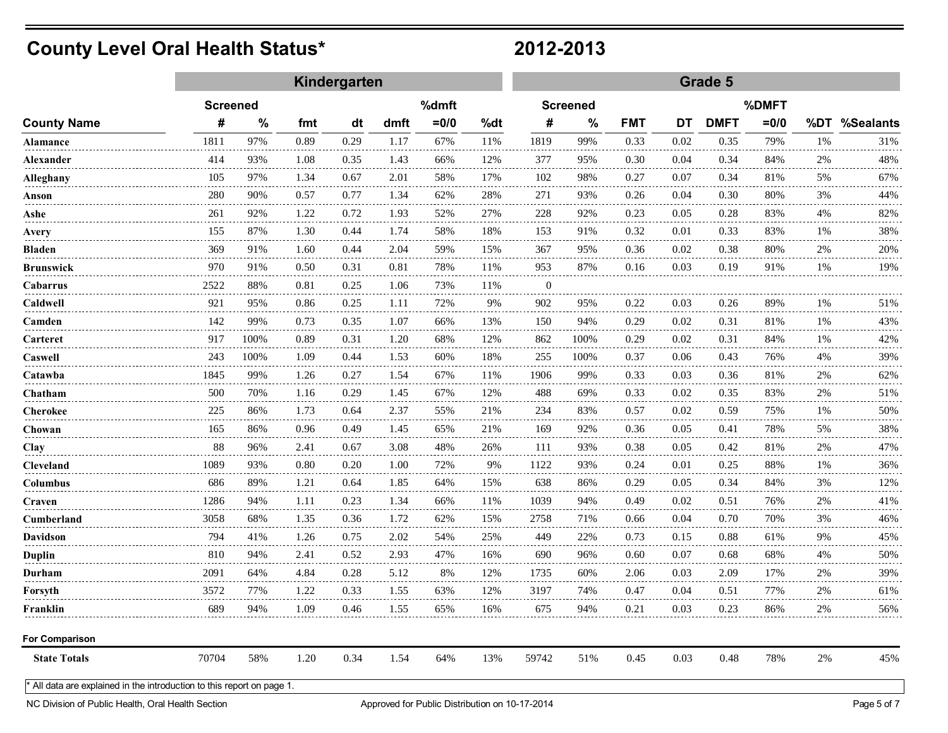|                                                                      |                 |               |      | Kindergarten |      |         |         | Grade 5      |                 |            |      |             |         |       |                                    |
|----------------------------------------------------------------------|-----------------|---------------|------|--------------|------|---------|---------|--------------|-----------------|------------|------|-------------|---------|-------|------------------------------------|
| <b>County Name</b>                                                   | <b>Screened</b> |               |      |              |      | %dmft   |         |              | <b>Screened</b> |            |      |             | %DMFT   |       |                                    |
|                                                                      | #               | $\frac{0}{0}$ | fmt  | dt           | dmft | $= 0/0$ | %dt     | #            | $\%$            | <b>FMT</b> | DT   | <b>DMFT</b> | $= 0/0$ |       | %DT %Sealants                      |
| <b>Alamance</b>                                                      | 1811            | 97%           | 0.89 | 0.29         | 1.17 | 67%     | 11%     | 1819         | 99%             | 0.33       | 0.02 | 0.35        | 79%     | 1%    | 31%                                |
| Alexander                                                            | 414             | 93%           | 1.08 | 0.35         | 1.43 | 66%     | 12%     | 377          | 95%             | 0.30       | 0.04 | 0.34        | 84%     | 2%    | 48%                                |
| Alleghany                                                            | 105             | 97%           | 1.34 | 0.67         | 2.01 | 58%     | 17%     | 102          | 98%             | 0.27       | 0.07 | 0.34        | 81%     | 5%    | 67%                                |
| Anson                                                                | 280             | 90%           | 0.57 | 0.77         | 1.34 | 62%     | 28%     | 271          | 93%             | 0.26       | 0.04 | 0.30        | 80%     | 3%    | 44%                                |
| Ashe                                                                 | 261             | 92%           | 1.22 | 0.72         | 1.93 | 52%     | 27%     | 228          | 92%             | 0.23       | 0.05 | 0.28        | 83%     | 4%    | 82%                                |
| Avery                                                                | 155             | 87%           | 1.30 | 0.44         | 1.74 | 58%     | 18%     | 153          | 91%             | 0.32       | 0.01 | 0.33        | 83%     | 1%    | 38%                                |
| Bladen                                                               | 369             | 91%           | 1.60 | 0.44         | 2.04 | 59%     | 15%     | 367          | 95%             | 0.36       | 0.02 | 0.38        | 80%     | 2%    | 20%                                |
| Brunswick                                                            | 970             | 91%           | 0.50 | 0.31         | 0.81 | 78%     | 11%     | 953          | 87%             | 0.16       | 0.03 | 0.19        | 91%     | 1%    | 19%                                |
| Cabarrus                                                             | 2522            | 88%           | 0.81 | 0.25         | 1.06 | 73%     | 11%     | $\mathbf{0}$ |                 |            |      |             |         |       |                                    |
| Caldwell                                                             | 921             | 95%           | 0.86 | 0.25         | 1.11 | 72%     | 9%      | 902          | 95%             | 0.22       | 0.03 | 0.26        | 89%     | 1%    | 51%                                |
| Camden                                                               | 142             | 99%           | 0.73 | 0.35         | 1.07 | 66%     | 13%     | 150          | 94%             | 0.29       | 0.02 | 0.31        | 81%     | 1%    | 43%                                |
| Carteret                                                             | 917             | 100%          | 0.89 | 0.31         | 1.20 | 68%     | 12%     | 862          | 100%            | 0.29       | 0.02 | 0.31        | 84%     | 1%    | 42%                                |
| Caswell                                                              | 243             | 100%          | 1.09 | 0.44         | 1.53 | 60%     | 18%     | 255          | 100%            | 0.37       | 0.06 | 0.43        | 76%     | 4%    | 39%                                |
| Catawba                                                              | 1845            | 99%           | 1.26 | 0.27         | 1.54 | 67%     | 11%     | 1906         | 99%             | 0.33       | 0.03 | 0.36        | 81%     | 2%    | 62%<br>$\sim$ $\sim$ $\sim$ $\sim$ |
| Chatham                                                              | 500             | 70%           | 1.16 | 0.29         | 1.45 | 67%     | 12%<br> | 488          | 69%             | 0.33       | 0.02 | 0.35        | 83%     | 2%    | 51%                                |
| Cherokee                                                             | 225             | 86%           | 1.73 | 0.64         | 2.37 | 55%     | 21%     | 234          | 83%             | 0.57       | 0.02 | 0.59        | 75%     | 1%    | 50%                                |
| Chowan                                                               | 165             | 86%           | 0.96 | 0.49         | 1.45 | 65%     | 21%     | 169          | 92%             | 0.36       | 0.05 | 0.41        | 78%     | 5%    | 38%                                |
| Clay                                                                 | 88              | 96%           | 2.41 | 0.67         | 3.08 | 48%     | 26%     | 111          | 93%             | 0.38       | 0.05 | 0.42        | 81%     | 2%    | 47%                                |
| Cleveland                                                            | 1089            | 93%           | 0.80 | 0.20         | 1.00 | 72%     | 9%      | 1122         | 93%             | 0.24       | 0.01 | 0.25        | 88%     | 1%    | 36%                                |
| Columbus                                                             | 686             | 89%           | 1.21 | 0.64         | 1.85 | 64%     | 15%     | 638          | 86%             | 0.29       | 0.05 | 0.34        | 84%     | 3%    | 12%                                |
| Craven                                                               | 1286            | 94%           | 1.11 | 0.23         | 1.34 | 66%     | 11%     | 1039         | 94%             | 0.49       | 0.02 | 0.51        | 76%     | 2%    | 41%                                |
| Cumberland                                                           | 3058            | 68%           | 1.35 | 0.36         | 1.72 | 62%     | 15%     | 2758         | 71%             | 0.66       | 0.04 | 0.70        | 70%     | 3%    | 46%                                |
| Davidson                                                             | 794             | 41%           | 1.26 | 0.75         | 2.02 | 54%     | 25%     | 449          | 22%             | 0.73       | 0.15 | 0.88        | 61%     | 9%    | 45%                                |
| <b>Duplin</b>                                                        | 810             | 94%           | 2.41 | 0.52         | 2.93 | 47%     | 16%     | 690          | 96%             | 0.60       | 0.07 | 0.68        | 68%     | 4%    | 50%                                |
| Durham                                                               | 2091            | 64%           | 4.84 | 0.28         | 5.12 | 8%      | 12%     | 1735         | 60%             | 2.06       | 0.03 | 2.09        | 17%     | $2\%$ | 39%                                |
| Forsyth                                                              | 3572            | 77%           | 1.22 | 0.33         | 1.55 | 63%     | 12%     | 3197         | 74%             | 0.47       | 0.04 | 0.51        | 77%     | $2\%$ | 61%                                |
| Franklin                                                             | 689             | 94%           | 1.09 | 0.46         | 1.55 | 65%     | 16%     | 675          | 94%             | 0.21       | 0.03 | 0.23        | 86%     | 2%    | 56%                                |
| <b>For Comparison</b>                                                |                 |               |      |              |      |         |         |              |                 |            |      |             |         |       |                                    |
| <b>State Totals</b>                                                  | 70704           | 58%           | 1.20 | 0.34         | 1.54 | 64%     | 13%     | 59742        | 51%             | 0.45       | 0.03 | 0.48        | 78%     | 2%    | 45%                                |
| All data are explained in the introduction to this report on page 1. |                 |               |      |              |      |         |         |              |                 |            |      |             |         |       |                                    |

NC Division of Public Health, Oral Health Section Approved for Public Distribution on 10-17-2014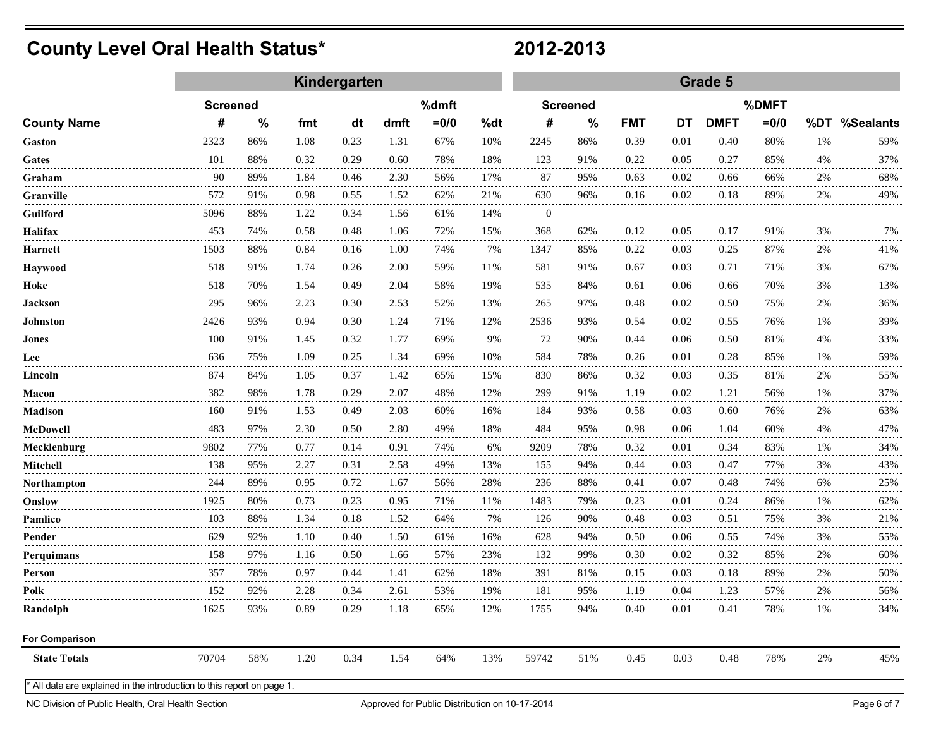|                                                                      |                 |               |                          | Kindergarten |      |         |     | Grade 5      |               |            |      |             |         |       |               |
|----------------------------------------------------------------------|-----------------|---------------|--------------------------|--------------|------|---------|-----|--------------|---------------|------------|------|-------------|---------|-------|---------------|
| <b>County Name</b>                                                   | <b>Screened</b> |               | %dmft<br><b>Screened</b> |              |      |         |     | %DMFT        |               |            |      |             |         |       |               |
|                                                                      | #               | $\frac{0}{0}$ | fmt                      | dt           | dmft | $= 0/0$ | %dt | #            | $\frac{0}{0}$ | <b>FMT</b> | DT   | <b>DMFT</b> | $= 0/0$ |       | %DT %Sealants |
| Gaston                                                               | 2323            | 86%           | 1.08                     | 0.23         | 1.31 | 67%     | 10% | 2245         | 86%           | 0.39       | 0.01 | 0.40        | 80%     | 1%    | 59%           |
| Gates                                                                | 101             | 88%           | 0.32                     | 0.29         | 0.60 | 78%     | 18% | 123          | 91%           | 0.22       | 0.05 | 0.27        | 85%     | 4%    | 37%           |
| Graham                                                               | 90              | 89%           | 1.84                     | 0.46         | 2.30 | 56%     | 17% | 87           | 95%           | 0.63       | 0.02 | 0.66        | 66%     | 2%    | 68%           |
| Granville                                                            | 572             | 91%           | 0.98                     | 0.55         | 1.52 | 62%     | 21% | 630          | 96%           | 0.16       | 0.02 | 0.18        | 89%     | 2%    | 49%           |
| Guilford                                                             | 5096            | 88%           | 1.22                     | 0.34         | 1.56 | 61%     | 14% | $\mathbf{0}$ |               |            |      |             |         |       |               |
| Halifax                                                              | 453             | 74%           | 0.58                     | 0.48         | 1.06 | 72%     | 15% | 368          | 62%           | 0.12       | 0.05 | 0.17        | 91%     | 3%    | 7%            |
| Harnett                                                              | 1503            | 88%           | 0.84                     | 0.16         | 1.00 | 74%     | 7%  | 1347         | 85%           | 0.22       | 0.03 | 0.25        | 87%     | 2%    | 41%           |
| <b>Haywood</b>                                                       | 518             | 91%           | 1.74                     | 0.26         | 2.00 | 59%     | 11% | 581          | 91%           | 0.67       | 0.03 | 0.71        | 71%     | 3%    | 67%           |
| Hoke                                                                 | 518             | 70%           | 1.54                     | 0.49         | 2.04 | 58%     | 19% | 535          | 84%           | 0.61       | 0.06 | 0.66        | 70%     | 3%    | 13%           |
| Jackson                                                              | 295             | 96%           | 2.23                     | 0.30         | 2.53 | 52%     | 13% | 265          | 97%           | 0.48       | 0.02 | 0.50        | 75%     | 2%    | 36%           |
| Johnston                                                             | 2426            | 93%           | 0.94                     | 0.30         | 1.24 | 71%     | 12% | 2536         | 93%           | 0.54       | 0.02 | 0.55        | 76%     | 1%    | 39%           |
| Jones                                                                | 100             | 91%           | 1.45                     | 0.32         | 1.77 | 69%     | 9%  | 72           | 90%           | 0.44       | 0.06 | 0.50        | 81%     | 4%    | 33%           |
| Lee                                                                  | 636             | 75%           | 1.09                     | 0.25         | 1.34 | 69%     | 10% | 584          | 78%           | 0.26       | 0.01 | 0.28        | 85%     | 1%    | 59%           |
| Lincoln                                                              | 874             | 84%           | 1.05                     | 0.37         | 1.42 | 65%     | 15% | 830          | 86%           | 0.32       | 0.03 | 0.35        | 81%     | $2\%$ | 55%           |
| Macon                                                                | 382             | 98%           | 1.78                     | 0.29         | 2.07 | 48%     | 12% | 299          | 91%           | 1.19       | 0.02 | 1.21        | 56%     | 1%    | 37%           |
| <b>Madison</b>                                                       | 160             | 91%           | 1.53                     | 0.49         | 2.03 | 60%     | 16% | 184          | 93%           | 0.58       | 0.03 | 0.60        | 76%     | 2%    | 63%           |
| McDowell                                                             | 483             | 97%           | 2.30                     | 0.50         | 2.80 | 49%     | 18% | 484          | 95%           | 0.98       | 0.06 | 1.04        | 60%     | 4%    | 47%           |
| Mecklenburg                                                          | 9802            | 77%           | 0.77                     | 0.14         | 0.91 | 74%     | 6%  | 9209         | 78%           | 0.32       | 0.01 | 0.34        | 83%     | 1%    | 34%           |
| Mitchell                                                             | 138             | 95%           | 2.27                     | 0.31         | 2.58 | 49%     | 13% | 155          | 94%           | 0.44       | 0.03 | 0.47        | 77%     | 3%    | 43%           |
| Northampton                                                          | 244             | 89%           | 0.95                     | 0.72         | 1.67 | 56%     | 28% | 236          | 88%           | 0.41       | 0.07 | 0.48        | 74%     | 6%    | 25%           |
| Onslow                                                               | 1925            | 80%           | 0.73                     | 0.23         | 0.95 | 71%     | 11% | 1483         | 79%           | 0.23       | 0.01 | 0.24        | 86%     | 1%    | 62%           |
| Pamlico                                                              | 103             | 88%           | 1.34                     | 0.18         | 1.52 | 64%     | 7%  | 126          | 90%           | 0.48       | 0.03 | 0.51        | 75%     | 3%    | 21%           |
| Pender                                                               | 629             | 92%           | 1.10                     | 0.40         | 1.50 | 61%     | 16% | 628          | 94%           | 0.50       | 0.06 | 0.55        | 74%     | 3%    | 55%           |
| Perquimans                                                           | 158             | 97%           | 1.16                     | 0.50         | 1.66 | 57%     | 23% | 132          | 99%           | 0.30       | 0.02 | 0.32        | 85%     | 2%    | 60%           |
| Person                                                               | 357             | 78%           | 0.97                     | 0.44         | 1.41 | 62%     | 18% | 391          | 81%           | 0.15       | 0.03 | 0.18        | 89%     | 2%    | 50%           |
| Polk                                                                 | 152             | 92%           | 2.28                     | 0.34         | 2.61 | 53%     | 19% | 181          | 95%           | 1.19       | 0.04 | 1.23        | 57%     | 2%    | 56%           |
| Randolph                                                             | 1625            | 93%           | 0.89                     | 0.29         | 1.18 | 65%     | 12% | 1755         | 94%           | 0.40       | 0.01 | 0.41        | 78%     | 1%    | 34%           |
| <b>For Comparison</b>                                                |                 |               |                          |              |      |         |     |              |               |            |      |             |         |       |               |
| <b>State Totals</b>                                                  | 70704           | 58%           | 1.20                     | 0.34         | 1.54 | 64%     | 13% | 59742        | 51%           | 0.45       | 0.03 | 0.48        | 78%     | 2%    | 45%           |
| All data are explained in the introduction to this report on page 1. |                 |               |                          |              |      |         |     |              |               |            |      |             |         |       |               |